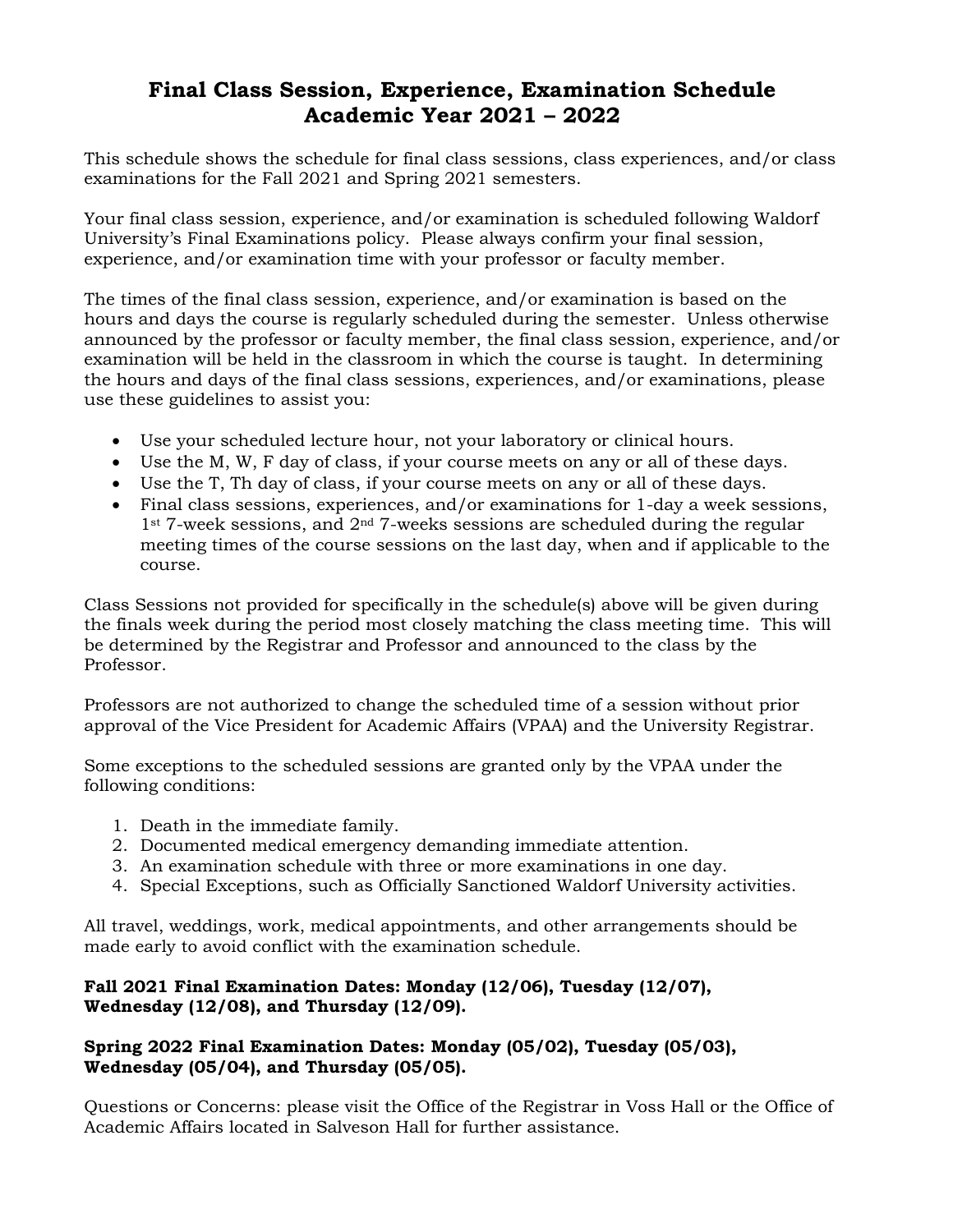## **Final Class Session, Experience, Examination Schedule Academic Year 2021 – 2022**

This schedule shows the schedule for final class sessions, class experiences, and/or class examinations for the Fall 2021 and Spring 2021 semesters.

Your final class session, experience, and/or examination is scheduled following Waldorf University's Final Examinations policy. Please always confirm your final session, experience, and/or examination time with your professor or faculty member.

The times of the final class session, experience, and/or examination is based on the hours and days the course is regularly scheduled during the semester. Unless otherwise announced by the professor or faculty member, the final class session, experience, and/or examination will be held in the classroom in which the course is taught. In determining the hours and days of the final class sessions, experiences, and/or examinations, please use these guidelines to assist you:

- Use your scheduled lecture hour, not your laboratory or clinical hours.
- Use the M, W, F day of class, if your course meets on any or all of these days.
- Use the T, Th day of class, if your course meets on any or all of these days.
- Final class sessions, experiences, and/or examinations for 1-day a week sessions,  $1$ <sup>st</sup> 7-week sessions, and  $2<sup>nd</sup>$  7-weeks sessions are scheduled during the regular meeting times of the course sessions on the last day, when and if applicable to the course.

Class Sessions not provided for specifically in the schedule(s) above will be given during the finals week during the period most closely matching the class meeting time. This will be determined by the Registrar and Professor and announced to the class by the Professor.

Professors are not authorized to change the scheduled time of a session without prior approval of the Vice President for Academic Affairs (VPAA) and the University Registrar.

Some exceptions to the scheduled sessions are granted only by the VPAA under the following conditions:

- 1. Death in the immediate family.
- 2. Documented medical emergency demanding immediate attention.
- 3. An examination schedule with three or more examinations in one day.
- 4. Special Exceptions, such as Officially Sanctioned Waldorf University activities.

All travel, weddings, work, medical appointments, and other arrangements should be made early to avoid conflict with the examination schedule.

## **Fall 2021 Final Examination Dates: Monday (12/06), Tuesday (12/07), Wednesday (12/08), and Thursday (12/09).**

## **Spring 2022 Final Examination Dates: Monday (05/02), Tuesday (05/03), Wednesday (05/04), and Thursday (05/05).**

Questions or Concerns: please visit the Office of the Registrar in Voss Hall or the Office of Academic Affairs located in Salveson Hall for further assistance.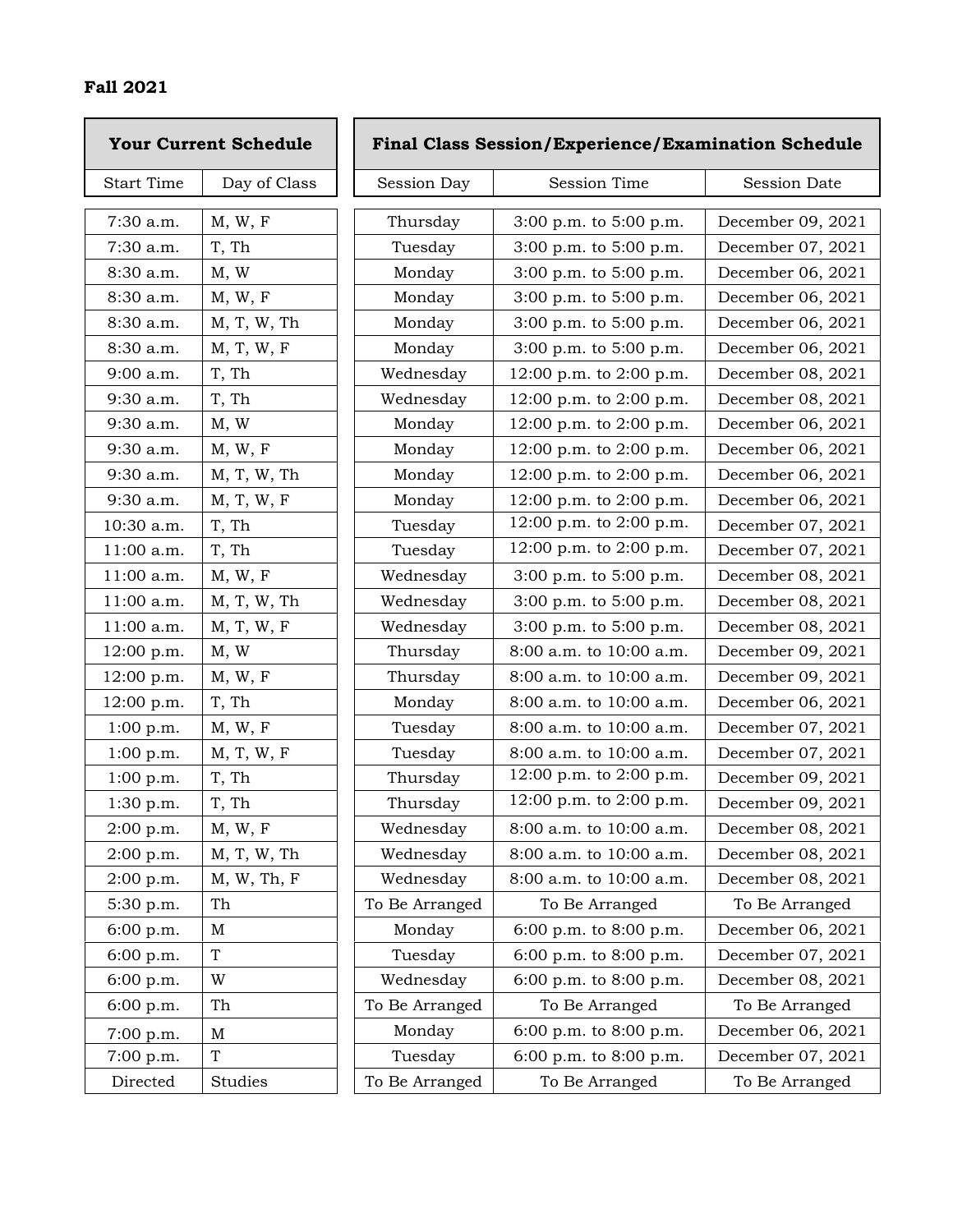|                   | <b>Your Current Schedule</b> | <b>Final Class Session/Experience/Examination Schedule</b> |                             |                     |
|-------------------|------------------------------|------------------------------------------------------------|-----------------------------|---------------------|
| <b>Start Time</b> | Day of Class                 | Session Day                                                | <b>Session Time</b>         | <b>Session Date</b> |
| 7:30 a.m.         | M, W, F                      | Thursday                                                   | 3:00 p.m. to 5:00 p.m.      | December 09, 2021   |
| 7:30 a.m.         | T, Th                        | Tuesday                                                    | 3:00 p.m. to 5:00 p.m.      | December 07, 2021   |
| 8:30 a.m.         | M, W                         | Monday                                                     | 3:00 p.m. to 5:00 p.m.      | December 06, 2021   |
| 8:30 a.m.         | M, W, F                      | Monday                                                     | 3:00 p.m. to 5:00 p.m.      | December 06, 2021   |
| 8:30 a.m.         | M, T, W, Th                  | Monday                                                     | 3:00 p.m. to 5:00 p.m.      | December 06, 2021   |
| $8:30$ a.m.       | M, T, W, F                   | Monday                                                     | 3:00 p.m. to 5:00 p.m.      | December 06, 2021   |
| $9:00$ a.m.       | T, Th                        | Wednesday                                                  | 12:00 p.m. to 2:00 p.m.     | December 08, 2021   |
| 9:30 a.m.         | T, Th                        | Wednesday                                                  | 12:00 p.m. to 2:00 p.m.     | December 08, 2021   |
| 9:30 a.m.         | M, W                         | Monday                                                     | 12:00 p.m. to 2:00 p.m.     | December 06, 2021   |
| $9:30$ a.m.       | M, W, F                      | Monday                                                     | 12:00 p.m. to 2:00 p.m.     | December 06, 2021   |
| 9:30 a.m.         | M, T, W, Th                  | Monday                                                     | 12:00 p.m. to 2:00 p.m.     | December 06, 2021   |
| 9:30 a.m.         | M, T, W, F                   | Monday                                                     | 12:00 p.m. to 2:00 p.m.     | December 06, 2021   |
| 10:30 a.m.        | T, Th                        | Tuesday                                                    | 12:00 p.m. to 2:00 p.m.     | December 07, 2021   |
| 11:00 a.m.        | T, Th                        | Tuesday                                                    | 12:00 p.m. to 2:00 p.m.     | December 07, 2021   |
| 11:00 a.m.        | M, W, F                      | Wednesday                                                  | 3:00 p.m. to 5:00 p.m.      | December 08, 2021   |
| 11:00 a.m.        | M, T, W, Th                  | Wednesday                                                  | 3:00 p.m. to 5:00 p.m.      | December 08, 2021   |
| 11:00 a.m.        | M, T, W, F                   | Wednesday                                                  | 3:00 p.m. to 5:00 p.m.      | December 08, 2021   |
| 12:00 p.m.        | M, W                         | Thursday                                                   | 8:00 a.m. to 10:00 a.m.     | December 09, 2021   |
| 12:00 p.m.        | M, W, F                      | Thursday                                                   | 8:00 a.m. to 10:00 a.m.     | December 09, 2021   |
| 12:00 p.m.        | T, Th                        | Monday                                                     | $8:00$ a.m. to $10:00$ a.m. | December 06, 2021   |
| 1:00 p.m.         | $M, W, F$                    | Tuesday                                                    | 8:00 a.m. to 10:00 a.m.     | December 07, 2021   |
| 1:00 p.m.         | M, T, W, F                   | Tuesday                                                    | 8:00 a.m. to 10:00 a.m.     | December 07, 2021   |
| 1:00 p.m.         | T, Th                        | Thursday                                                   | 12:00 p.m. to 2:00 p.m.     | December 09, 2021   |
| 1:30 p.m.         | T, Th                        | Thursday                                                   | 12:00 p.m. to 2:00 p.m.     | December 09, 2021   |
| 2:00 p.m.         | M, W, F                      | Wednesday                                                  | 8:00 a.m. to 10:00 a.m.     | December 08, 2021   |
| 2:00 p.m.         | M, T, W, Th                  | Wednesday                                                  | 8:00 a.m. to 10:00 a.m.     | December 08, 2021   |
| $2:00$ p.m.       | M, W, Th, F                  | Wednesday                                                  | 8:00 a.m. to 10:00 a.m.     | December 08, 2021   |
| 5:30 p.m.         | Th                           | To Be Arranged                                             | To Be Arranged              | To Be Arranged      |
| 6:00 p.m.         | $\mathbf M$                  | Monday                                                     | 6:00 p.m. to 8:00 p.m.      | December 06, 2021   |
| 6:00 p.m.         | $\mathbf T$                  | Tuesday                                                    | 6:00 p.m. to 8:00 p.m.      | December 07, 2021   |
| 6:00 p.m.         | W                            | Wednesday                                                  | 6:00 p.m. to 8:00 p.m.      | December 08, 2021   |
| 6:00 p.m.         | Th                           | To Be Arranged                                             | To Be Arranged              | To Be Arranged      |
| 7:00 p.m.         | $\mathbf M$                  | Monday                                                     | 6:00 p.m. to 8:00 p.m.      | December 06, 2021   |
| 7:00 p.m.         | T                            | Tuesday                                                    | 6:00 p.m. to 8:00 p.m.      | December 07, 2021   |
| Directed          | Studies                      | To Be Arranged                                             | To Be Arranged              | To Be Arranged      |